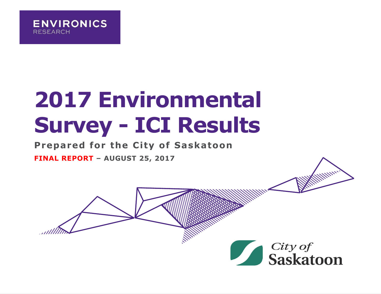

# **2017 Environmental Survey - ICI Results**

#### **Prepared for the City of Saskatoon**

**FINAL REPORT – AUGUST 25, 2017**



**William**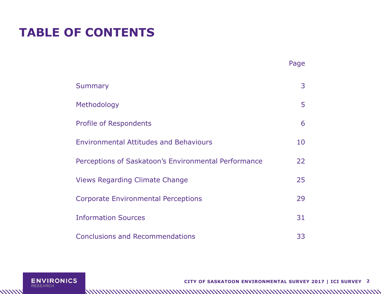## **TABLE OF CONTENTS**

|                                                      | Page |
|------------------------------------------------------|------|
| <b>Summary</b>                                       | 3    |
| Methodology                                          | 5    |
| <b>Profile of Respondents</b>                        | 6    |
| <b>Environmental Attitudes and Behaviours</b>        | 10   |
| Perceptions of Saskatoon's Environmental Performance | 22   |
| <b>Views Regarding Climate Change</b>                | 25   |
| <b>Corporate Environmental Perceptions</b>           | 29   |
| <b>Information Sources</b>                           | 31   |
| <b>Conclusions and Recommendations</b>               | 33   |



**\\\\\\\\** 

**CITY OF SASKATOON ENVIRONMENTAL SURVEY 2017 | ICI SURVEY 2**

http://www.marchitech.com/www.marchitech.com/www.marchitech.com/www.marchitech.com/www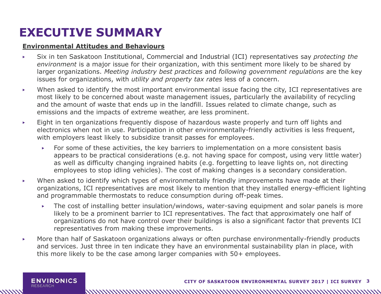### **EXECUTIVE SUMMARY**

#### **Environmental Attitudes and Behaviours**

- ▶ Six in ten Saskatoon Institutional, Commercial and Industrial (ICI) representatives say *protecting the environment* is a major issue for their organization, with this sentiment more likely to be shared by larger organizations. *Meeting industry best practices* and *following government regulations* are the key issues for organizations, with *utility and property tax rates* less of a concern.
- ▶ When asked to identify the most important environmental issue facing the city, ICI representatives are most likely to be concerned about waste management issues, particularly the availability of recycling and the amount of waste that ends up in the landfill. Issues related to climate change, such as emissions and the impacts of extreme weather, are less prominent.
- ▶ Eight in ten organizations frequently dispose of hazardous waste properly and turn off lights and electronics when not in use. Participation in other environmentally-friendly activities is less frequent, with employers least likely to subsidize transit passes for employees.
	- ▶ For some of these activities, the key barriers to implementation on a more consistent basis appears to be practical considerations (e.g. not having space for compost, using very little water) as well as difficulty changing ingrained habits (e.g. forgetting to leave lights on, not directing employees to stop idling vehicles). The cost of making changes is a secondary consideration.
- ▶ When asked to identify which types of environmentally friendly improvements have made at their organizations, ICI representatives are most likely to mention that they installed energy-efficient lighting and programmable thermostats to reduce consumption during off-peak times.
	- ▶ The cost of installing better insulation/windows, water-saving equipment and solar panels is more likely to be a prominent barrier to ICI representatives. The fact that approximately one half of organizations do not have control over their buildings is also a significant factor that prevents ICI representatives from making these improvements.

▶ More than half of Saskatoon organizations always or often purchase environmentally-friendly products and services. Just three in ten indicate they have an environmental sustainability plan in place, with this more likely to be the case among larger companies with 50+ employees.

**ENVIRONICS RESEARCH**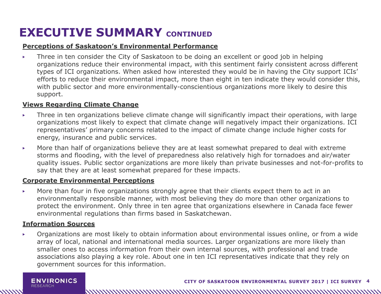### **EXECUTIVE SUMMARY** CONTINUED

#### **Perceptions of Saskatoon's Environmental Performance**

▶ Three in ten consider the City of Saskatoon to be doing an excellent or good job in helping organizations reduce their environmental impact, with this sentiment fairly consistent across different types of ICI organizations. When asked how interested they would be in having the City support ICIs' efforts to reduce their environmental impact, more than eight in ten indicate they would consider this, with public sector and more environmentally-conscientious organizations more likely to desire this support.

#### **Views Regarding Climate Change**

- ▶ Three in ten organizations believe climate change will significantly impact their operations, with large organizations most likely to expect that climate change will negatively impact their organizations. ICI representatives' primary concerns related to the impact of climate change include higher costs for energy, insurance and public services.
- ▶ More than half of organizations believe they are at least somewhat prepared to deal with extreme storms and flooding, with the level of preparedness also relatively high for tornadoes and air/water quality issues. Public sector organizations are more likely than private businesses and not-for-profits to say that they are at least somewhat prepared for these impacts.

#### **Corporate Environmental Perceptions**

▶ More than four in five organizations strongly agree that their clients expect them to act in an environmentally responsible manner, with most believing they do more than other organizations to protect the environment. Only three in ten agree that organizations elsewhere in Canada face fewer environmental regulations than firms based in Saskatchewan.

#### **Information Sources**

**RESEARCH** 

▶ Organizations are most likely to obtain information about environmental issues online, or from a wide array of local, national and international media sources. Larger organizations are more likely than smaller ones to access information from their own internal sources, with professional and trade associations also playing a key role. About one in ten ICI representatives indicate that they rely on government sources for this information.

**ENVIRONICS** 

www.manumumumumumumumumumumumumumumum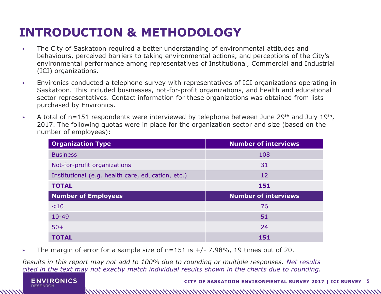## **INTRODUCTION & METHODOLOGY**

- ▶ The City of Saskatoon required a better understanding of environmental attitudes and behaviours, perceived barriers to taking environmental actions, and perceptions of the City's environmental performance among representatives of Institutional, Commercial and Industrial (ICI) organizations.
- ▶ Environics conducted a telephone survey with representatives of ICI organizations operating in Saskatoon. This included businesses, not-for-profit organizations, and health and educational sector representatives. Contact information for these organizations was obtained from lists purchased by Environics.
- $\blacktriangleright$  A total of n=151 respondents were interviewed by telephone between June 29<sup>th</sup> and July 19<sup>th</sup>, 2017. The following quotas were in place for the organization sector and size (based on the number of employees):

| <b>Organization Type</b>                          | <b>Number of interviews</b> |
|---------------------------------------------------|-----------------------------|
| <b>Business</b>                                   | 108                         |
| Not-for-profit organizations                      | 31                          |
| Institutional (e.g. health care, education, etc.) | 12                          |
| <b>TOTAL</b>                                      | 151                         |
|                                                   |                             |
| <b>Number of Employees</b>                        | <b>Number of interviews</b> |
| < 10                                              | 76                          |
| $10 - 49$                                         | 51                          |
| $50+$                                             | 24                          |

 $\triangleright$  The margin of error for a sample size of n=151 is  $+/- 7.98\%$ , 19 times out of 20.

*Results in this report may not add to 100% due to rounding or multiple responses. Net results cited in the text may not exactly match individual results shown in the charts due to rounding.* 



////////

http://www.marchitech.com/www.marchitech.com/www.marchitech.com/www.marchitech.com/www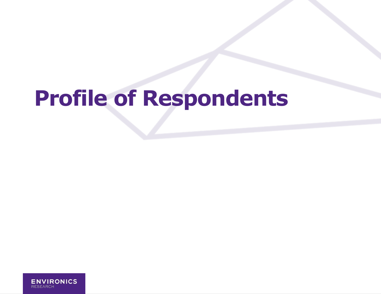# **Profile of Respondents**

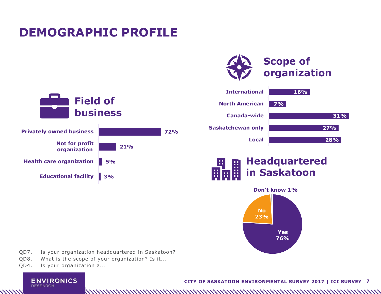### **DEMOGRAPHIC PROFILE**









- QD7. Is your organization headquartered in Saskatoon?
- QD8. What is the scope of your organization? Is it...
- QD4. Is your organization a...

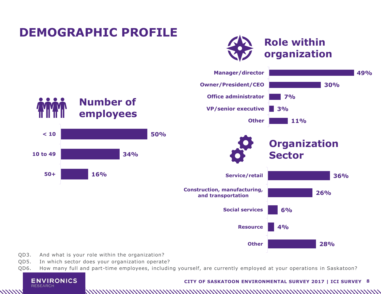

QD3. And what is your role within the organization?

**ENVIRONICS** 

**RESEARCH** 

- QD5. In which sector does your organization operate?
- QD6. How many full and part-time employees, including yourself, are currently employed at your operations in Saskatoon?

#### **CITY OF SASKATOON ENVIRONMENTAL SURVEY 2017 | ICI SURVEY 8**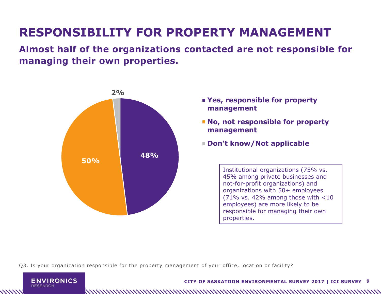## **RESPONSIBILITY FOR PROPERTY MANAGEMENT**

**Almost half of the organizations contacted are not responsible for managing their own properties.**



- **Yes, responsible for property management**
- **No, not responsible for property management**
- **Don't know/Not applicable**

Institutional organizations (75% vs. 45% among private businesses and not-for-profit organizations) and organizations with 50+ employees (71% vs. 42% among those with  $<$ 10 employees) are more likely to be responsible for managing their own properties.

Q3. Is your organization responsible for the property management of your office, location or facility?

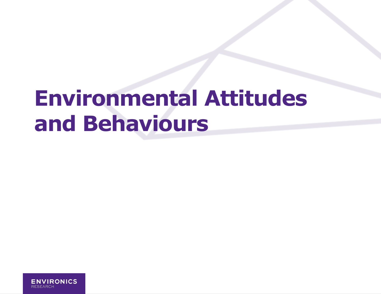# **Environmental Attitudes and Behaviours**

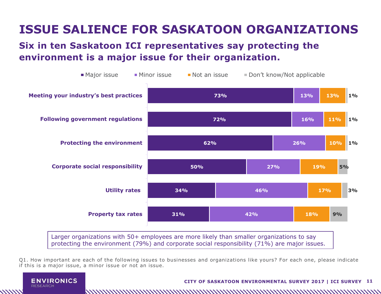## **ISSUE SALIENCE FOR SASKATOON ORGANIZATIONS**

#### **Six in ten Saskatoon ICI representatives say protecting the environment is a major issue for their organization.**



Larger organizations with 50+ employees are more likely than smaller organizations to say protecting the environment (79%) and corporate social responsibility (71%) are major issues.

Q1. How important are each of the following issues to businesses and organizations like yours? For each one, please indicate if this is a major issue, a minor issue or not an issue.

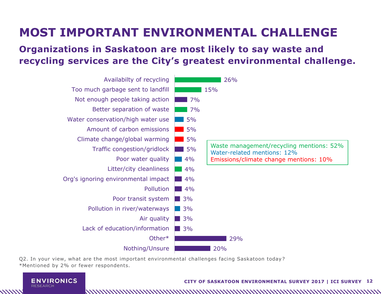### **MOST IMPORTANT ENVIRONMENTAL CHALLENGE**

#### **Organizations in Saskatoon are most likely to say waste and recycling services are the City's greatest environmental challenge.**

| Availabilty of recycling            |    | 26%                                                                     |
|-------------------------------------|----|-------------------------------------------------------------------------|
| Too much garbage sent to landfill   |    | 15%                                                                     |
| Not enough people taking action     | 7% |                                                                         |
| Better separation of waste          | 7% |                                                                         |
| Water conservation/high water use   | 5% |                                                                         |
| Amount of carbon emissions          | 5% |                                                                         |
| Climate change/global warming       | 5% |                                                                         |
| Traffic congestion/gridlock         | 5% | Waste management/recycling mentions: 52%<br>Water-related mentions: 12% |
| Poor water quality                  | 4% | Emissions/climate change mentions: 10%                                  |
| Litter/city cleanliness             | 4% |                                                                         |
| Org's ignoring environmental impact | 4% |                                                                         |
| Pollution                           | 4% |                                                                         |
| Poor transit system                 | 3% |                                                                         |
| Pollution in river/waterways        | 3% |                                                                         |
| Air quality                         | 3% |                                                                         |
| Lack of education/information       | 3% |                                                                         |
| Other*                              |    | 29%                                                                     |
| Nothing/Unsure                      |    | 20%                                                                     |

Q2. In your view, what are the most important environmental challenges facing Saskatoon today? \*Mentioned by 2% or fewer respondents.



**////////** 

http://www.marchitech.com/www.marchitech.com/www.marchitech.com/www.marchitech.com/www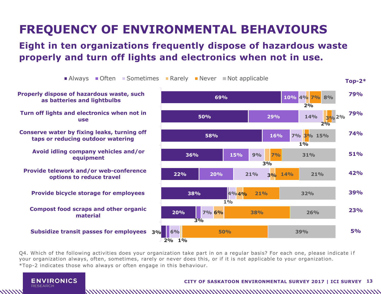# **FREQUENCY OF ENVIRONMENTAL BEHAVIOURS**

#### **Eight in ten organizations frequently dispose of hazardous waste properly and turn off lights and electronics when not in use.**



Q4. Which of the following activities does your organization take part in on a regular basis? For each one, please indicate if your organization always, often, sometimes, rarely or never does this, or if it is not applicable to your organization. \*Top-2 indicates those who always or often engage in this behaviour.

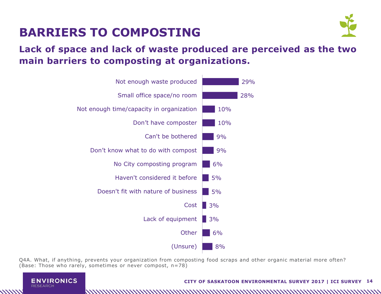

## **BARRIERS TO COMPOSTING**

#### **Lack of space and lack of waste produced are perceived as the two main barriers to composting at organizations.**



Q4A. What, if anything, prevents your organization from composting food scraps and other organic material more often? (Base: Those who rarely, sometimes or never compost, n=78)



#### **CITY OF SASKATOON ENVIRONMENTAL SURVEY 2017 | ICI SURVEY 14**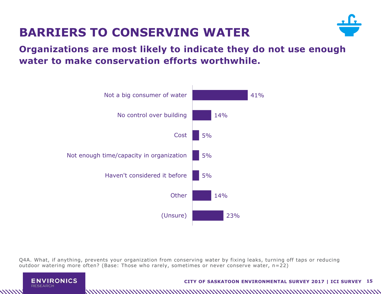

## **BARRIERS TO CONSERVING WATER**

**Organizations are most likely to indicate they do not use enough water to make conservation efforts worthwhile.**



Q4A. What, if anything, prevents your organization from conserving water by fixing leaks, turning off taps or reducing outdoor watering more often? (Base: Those who rarely, sometimes or never conserve water, n=22)

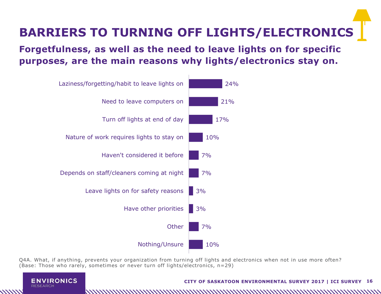

#### **Forgetfulness, as well as the need to leave lights on for specific purposes, are the main reasons why lights/electronics stay on.**



Q4A. What, if anything, prevents your organization from turning off lights and electronics when not in use more often? (Base: Those who rarely, sometimes or never turn off lights/electronics, n=29)



#### **CITY OF SASKATOON ENVIRONMENTAL SURVEY 2017 | ICI SURVEY 16**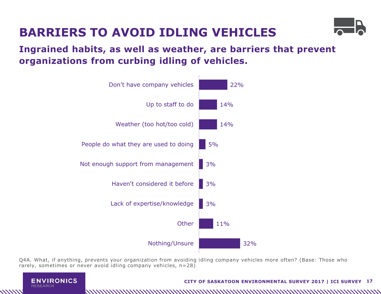

# **BARRIERS TO AVOID IDLING VEHICLES**

**Ingrained habits, as well as weather, are barriers that prevent organizations from curbing idling of vehicles.**



Q4A. What, if anything, prevents your organization from avoiding idling company vehicles more often? (Base: Those who rarely, sometimes or never avoid idling company vehicles, n=28)



#### **CITY OF SASKATOON ENVIRONMENTAL SURVEY 2017 | ICI SURVEY 17**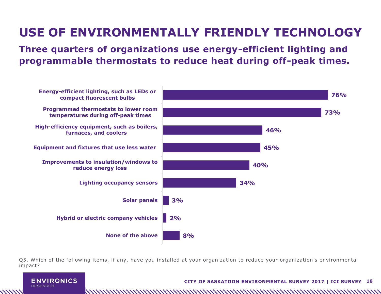# **USE OF ENVIRONMENTALLY FRIENDLY TECHNOLOGY**

**Three quarters of organizations use energy-efficient lighting and programmable thermostats to reduce heat during off-peak times.**



Q5. Which of the following items, if any, have you installed at your organization to reduce your organization's environmental impact?



**CITY OF SASKATOON ENVIRONMENTAL SURVEY 2017 | ICI SURVEY 18**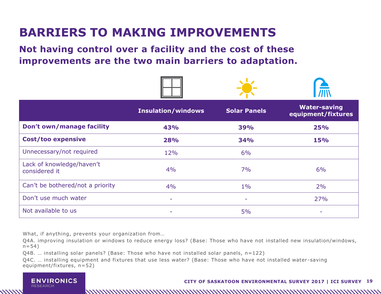## **BARRIERS TO MAKING IMPROVEMENTS**

**Not having control over a facility and the cost of these improvements are the two main barriers to adaptation.**

|                                            | <b>Insulation/windows</b> | <b>Solar Panels</b> | <b>Water-saving</b><br>equipment/fixtures |
|--------------------------------------------|---------------------------|---------------------|-------------------------------------------|
| Don't own/manage facility                  | 43%                       | 39%                 | 25%                                       |
| <b>Cost/too expensive</b>                  | 28%                       | <b>34%</b>          | <b>15%</b>                                |
| Unnecessary/not required                   | 12%                       | 6%                  |                                           |
| Lack of knowledge/haven't<br>considered it | 4%                        | 7%                  | 6%                                        |
| Can't be bothered/not a priority           | 4%                        | $1\%$               | 2%                                        |
| Don't use much water                       | ٠                         | -                   | 27%                                       |
| Not available to us                        | ۰                         | 5%                  | ۰                                         |

What, if anything, prevents your organization from…

Q4A. improving insulation or windows to reduce energy loss? (Base: Those who have not installed new insulation/windows,  $n = 54$ )

Q4B. … installing solar panels? (Base: Those who have not installed solar panels, n=122)

Q4C. … installing equipment and fixtures that use less water? (Base: Those who have not installed water -saving equipment/fixtures, n=52)



1111111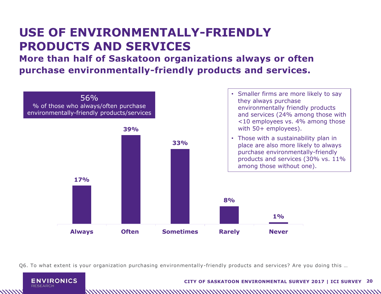### **USE OF ENVIRONMENTALLY-FRIENDLY PRODUCTS AND SERVICES**

**More than half of Saskatoon organizations always or often purchase environmentally-friendly products and services.**



Q6. To what extent is your organization purchasing environmentally-friendly products and services? Are you doing this …



#### **CITY OF SASKATOON ENVIRONMENTAL SURVEY 2017 | ICI SURVEY 20**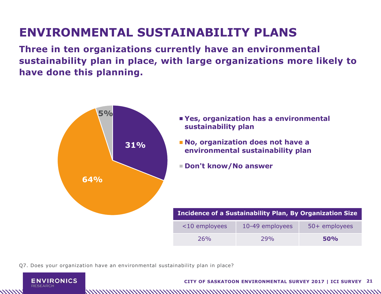# **ENVIRONMENTAL SUSTAINABILITY PLANS**

**Three in ten organizations currently have an environmental sustainability plan in place, with large organizations more likely to have done this planning.**



Q7. Does your organization have an environmental sustainability plan in place?



1111111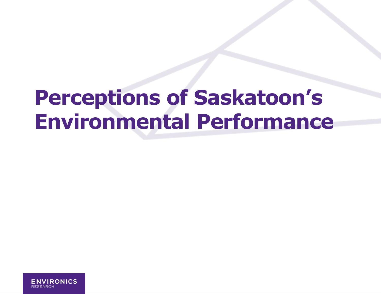# **Perceptions of Saskatoon's Environmental Performance**

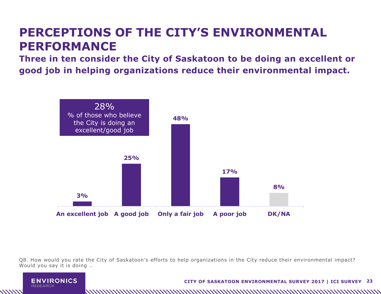### **PERCEPTIONS OF THE CITY'S ENVIRONMENTAL PERFORMANCE**

**Three in ten consider the City of Saskatoon to be doing an excellent or good job in helping organizations reduce their environmental impact.**



Q8. How would you rate the City of Saskatoon's efforts to help organizations in the City reduce their environmental impact? Would you say it is doing …

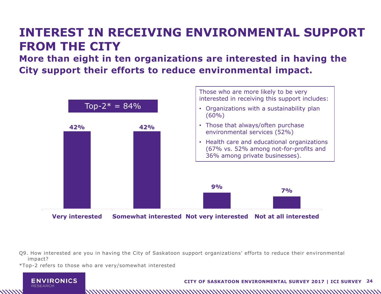### **INTEREST IN RECEIVING ENVIRONMENTAL SUPPORT FROM THE CITY**

**More than eight in ten organizations are interested in having the City support their efforts to reduce environmental impact.**



Q9. How interested are you in having the City of Saskatoon support organizations' efforts to reduce their environmental impact?

\*Top-2 refers to those who are very/somewhat interested



**CITY OF SASKATOON ENVIRONMENTAL SURVEY 2017 | ICI SURVEY 24**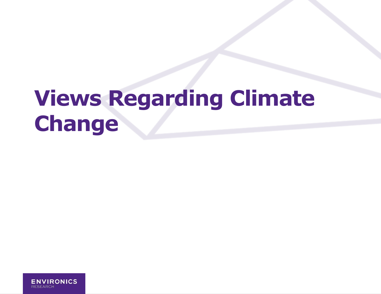# **Views Regarding Climate Change**

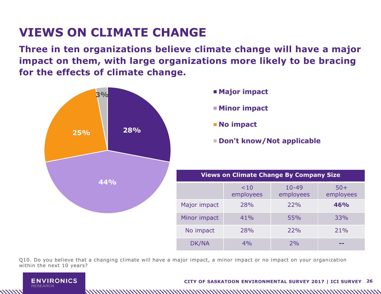## **VIEWS ON CLIMATE CHANGE**

**Three in ten organizations believe climate change will have a major impact on them, with large organizations more likely to be bracing for the effects of climate change.**



- 
- **Minor impact**
- **No impact**

**Don't know/Not applicable**

| <b>Views on Climate Change By Company Size</b> |                     |                        |                    |  |
|------------------------------------------------|---------------------|------------------------|--------------------|--|
|                                                | $<$ 10<br>employees | $10 - 49$<br>employees | $50+$<br>employees |  |
| Major impact                                   | 28%                 | 22%                    | 46%                |  |
| Minor impact                                   | 41%                 | 55%                    | 33%                |  |
| No impact                                      | 28%                 | 22%                    | 21%                |  |
| DK/NA                                          | 4%                  | 2%                     |                    |  |

Q10. Do you believe that a changing climate will have a major impact, a minor impact or no impact on your organization within the next 10 years?

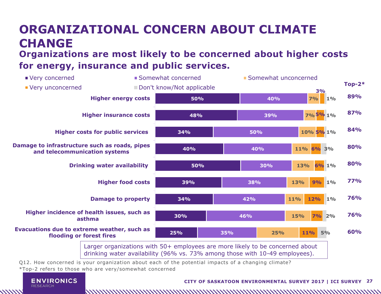### **Organizations are most likely to be concerned about higher costs ORGANIZATIONAL CONCERN ABOUT CLIMATE CHANGE**

#### **for energy, insurance and public services.**



Q12. How concerned is your organization about each of the potential impacts of a changing climate?

\*Top-2 refers to those who are very/somewhat concerned



**////////** 

#### **CITY OF SASKATOON ENVIRONMENTAL SURVEY 2017 | ICI SURVEY 27**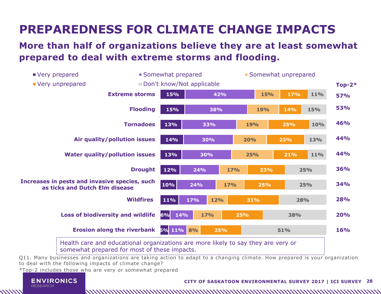# **PREPAREDNESS FOR CLIMATE CHANGE IMPACTS**

#### **More than half of organizations believe they are at least somewhat prepared to deal with extreme storms and flooding.**



Q11. Many businesses and organizations are taking action to adapt to a changing climate. How prepared is your organization to deal with the following impacts of climate change?

\*Top-2 includes those who are very or somewhat prepared



////////

#### **CITY OF SASKATOON ENVIRONMENTAL SURVEY 2017 | ICI SURVEY 28**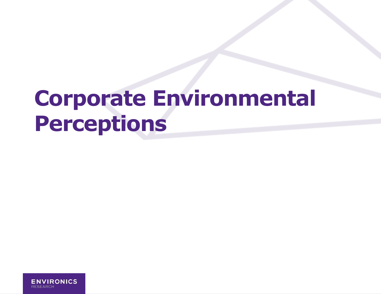# **Corporate Environmental Perceptions**

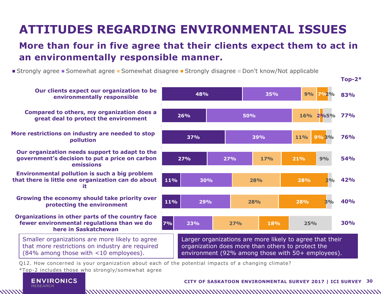# **ATTITUDES REGARDING ENVIRONMENTAL ISSUES**

#### **More than four in five agree that their clients expect them to act in an environmentally responsible manner.**

■ Strongly agree ■ Somewhat agree ■ Somewhat disagree ■ Strongly disagree ■ Don't know/Not applicable



\*Top-2 includes those who strongly/somewhat agree



////////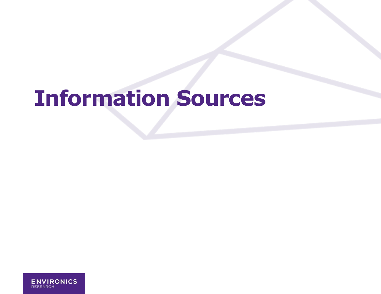# **Information Sources**

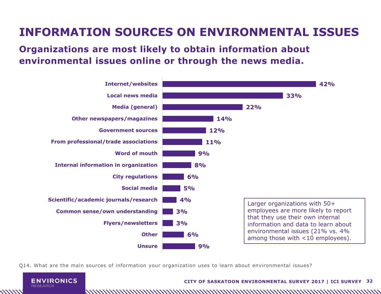### **INFORMATION SOURCES ON ENVIRONMENTAL ISSUES**

#### **Organizations are most likely to obtain information about environmental issues online or through the news media.**



Q14. What are the main sources of information your organization uses to learn about environmental issues?



**CITY OF SASKATOON ENVIRONMENTAL SURVEY 2017 | ICI SURVEY 32**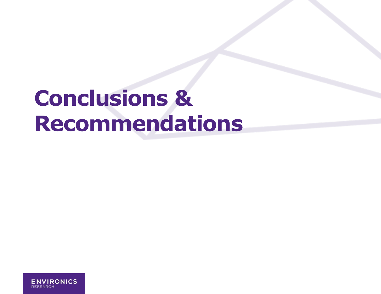# **Conclusions & Recommendations**

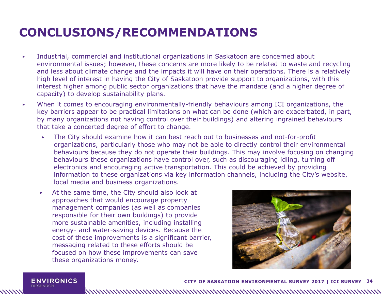### **CONCLUSIONS/RECOMMENDATIONS**

- ▶ Industrial, commercial and institutional organizations in Saskatoon are concerned about environmental issues; however, these concerns are more likely to be related to waste and recycling and less about climate change and the impacts it will have on their operations. There is a relatively high level of interest in having the City of Saskatoon provide support to organizations, with this interest higher among public sector organizations that have the mandate (and a higher degree of capacity) to develop sustainability plans.
- ▶ When it comes to encouraging environmentally-friendly behaviours among ICI organizations, the key barriers appear to be practical limitations on what can be done (which are exacerbated, in part, by many organizations not having control over their buildings) and altering ingrained behaviours that take a concerted degree of effort to change.
	- The City should examine how it can best reach out to businesses and not-for-profit organizations, particularly those who may not be able to directly control their environmental behaviours because they do not operate their buildings. This may involve focusing on changing behaviours these organizations have control over, such as discouraging idling, turning off electronics and encouraging active transportation. This could be achieved by providing information to these organizations via key information channels, including the City's website, local media and business organizations.

At the same time, the City should also look at approaches that would encourage property management companies (as well as companies responsible for their own buildings) to provide more sustainable amenities, including installing energy- and water-saving devices. Because the cost of these improvements is a significant barrier, messaging related to these efforts should be focused on how these improvements can save these organizations money.



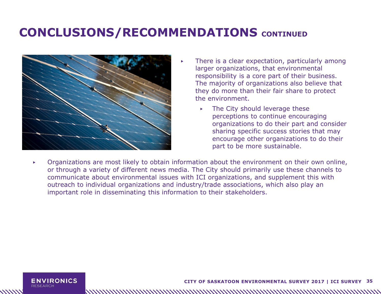### **CONCLUSIONS/RECOMMENDATIONS** CONTINUED



- There is a clear expectation, particularly among larger organizations, that environmental responsibility is a core part of their business. The majority of organizations also believe that they do more than their fair share to protect the environment.
	- The City should leverage these perceptions to continue encouraging organizations to do their part and consider sharing specific success stories that may encourage other organizations to do their part to be more sustainable.
- ▶ Organizations are most likely to obtain information about the environment on their own online, or through a variety of different news media. The City should primarily use these channels to communicate about environmental issues with ICI organizations, and supplement this with outreach to individual organizations and industry/trade associations, which also play an important role in disseminating this information to their stakeholders.